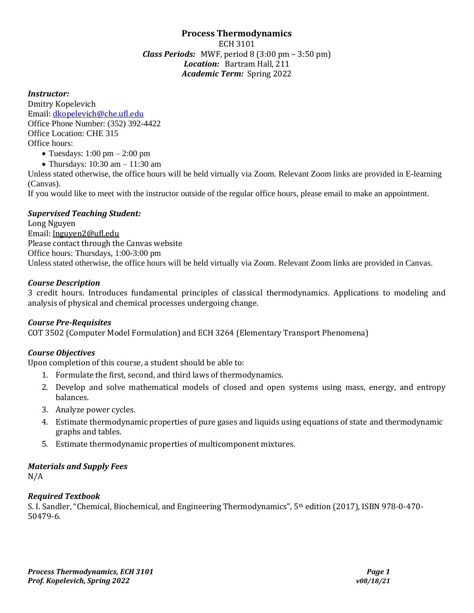## **Process Thermodynamics** ECH 3101 *Class Periods:* MWF, period 8 (3:00 pm – 3:50 pm) *Location:* Bartram Hall, 211 *Academic Term:* Spring 2022

### *Instructor:*

Dmitry Kopelevich Email: [dkopelevich@che.ufl.edu](mailto:dkopelevich@che.ufl.edu) Office Phone Number: (352) 392-4422 Office Location: CHE 315 Office hours:

- Tuesdays:  $1:00 \text{ pm} 2:00 \text{ pm}$
- Thursdays: 10:30 am 11:30 am

Unless stated otherwise, the office hours will be held virtually via Zoom. Relevant Zoom links are provided in E-learning (Canvas).

If you would like to meet with the instructor outside of the regular office hours, please email to make an appointment.

### *Supervised Teaching Student:*

Long Nguyen Email: [lnguyen2@ufl.edu](mailto:lnguyen2@ufl.edu) Please contact through the Canvas website Office hours: Thursdays, 1:00-3:00 pm Unless stated otherwise, the office hours will be held virtually via Zoom. Relevant Zoom links are provided in Canvas.

### *Course Description*

3 credit hours. Introduces fundamental principles of classical thermodynamics. Applications to modeling and analysis of physical and chemical processes undergoing change.

## *Course Pre-Requisites*

COT 3502 (Computer Model Formulation) and ECH 3264 (Elementary Transport Phenomena)

## *Course Objectives*

Upon completion of this course, a student should be able to:

- 1. Formulate the first, second, and third laws of thermodynamics.
- 2. Develop and solve mathematical models of closed and open systems using mass, energy, and entropy balances.
- 3. Analyze power cycles.
- 4. Estimate thermodynamic properties of pure gases and liquids using equations of state and thermodynamic graphs and tables.
- 5. Estimate thermodynamic properties of multicomponent mixtures.

#### *Materials and Supply Fees*

N/A

#### *Required Textbook*

S. I. Sandler, "Chemical, Biochemical, and Engineering Thermodynamics", 5th edition (2017), ISBN 978-0-470- 50479-6.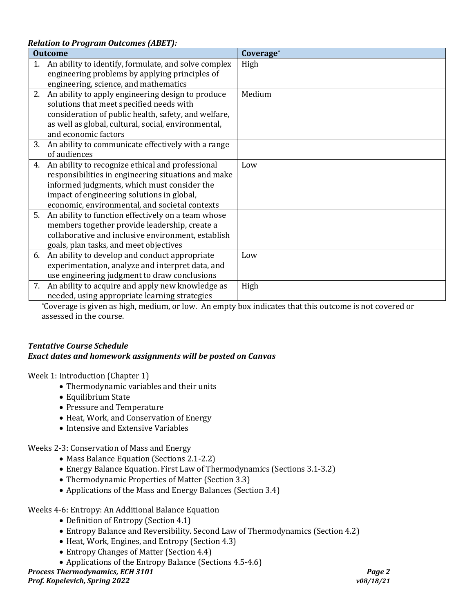*Relation to Program Outcomes (ABET):*

|                | Kelution to I rogi um Outcomes (ADLI J.              |           |  |  |  |
|----------------|------------------------------------------------------|-----------|--|--|--|
| <b>Outcome</b> |                                                      | Coverage* |  |  |  |
| $1_{-}$        | An ability to identify, formulate, and solve complex | High      |  |  |  |
|                | engineering problems by applying principles of       |           |  |  |  |
|                | engineering, science, and mathematics                |           |  |  |  |
|                | 2. An ability to apply engineering design to produce | Medium    |  |  |  |
|                | solutions that meet specified needs with             |           |  |  |  |
|                | consideration of public health, safety, and welfare, |           |  |  |  |
|                | as well as global, cultural, social, environmental,  |           |  |  |  |
|                | and economic factors                                 |           |  |  |  |
| 3.             | An ability to communicate effectively with a range   |           |  |  |  |
|                | of audiences                                         |           |  |  |  |
| 4.             | An ability to recognize ethical and professional     | Low       |  |  |  |
|                | responsibilities in engineering situations and make  |           |  |  |  |
|                | informed judgments, which must consider the          |           |  |  |  |
|                | impact of engineering solutions in global,           |           |  |  |  |
|                | economic, environmental, and societal contexts       |           |  |  |  |
| 5.             | An ability to function effectively on a team whose   |           |  |  |  |
|                | members together provide leadership, create a        |           |  |  |  |
|                | collaborative and inclusive environment, establish   |           |  |  |  |
|                | goals, plan tasks, and meet objectives               |           |  |  |  |
| 6.             | An ability to develop and conduct appropriate        | Low       |  |  |  |
|                | experimentation, analyze and interpret data, and     |           |  |  |  |
|                | use engineering judgment to draw conclusions         |           |  |  |  |
|                | 7. An ability to acquire and apply new knowledge as  | High      |  |  |  |
|                | needed, using appropriate learning strategies        |           |  |  |  |

\*Coverage is given as high, medium, or low. An empty box indicates that this outcome is not covered or assessed in the course.

## *Tentative Course Schedule Exact dates and homework assignments will be posted on Canvas*

Week 1: Introduction (Chapter 1)

- Thermodynamic variables and their units
- Equilibrium State
- Pressure and Temperature
- Heat, Work, and Conservation of Energy
- Intensive and Extensive Variables

Weeks 2-3: Conservation of Mass and Energy

- Mass Balance Equation (Sections 2.1-2.2)
- Energy Balance Equation. First Law of Thermodynamics (Sections 3.1-3.2)
- Thermodynamic Properties of Matter (Section 3.3)
- Applications of the Mass and Energy Balances (Section 3.4)

Weeks 4-6: Entropy: An Additional Balance Equation

- Definition of Entropy (Section 4.1)
- Entropy Balance and Reversibility. Second Law of Thermodynamics (Section 4.2)
- Heat, Work, Engines, and Entropy (Section 4.3)
- Entropy Changes of Matter (Section 4.4)
- Applications of the Entropy Balance (Sections 4.5-4.6)

*Process Thermodynamics, ECH 3101 Page 2*

*Prof. Kopelevich, Spring 2022 v08/18/21*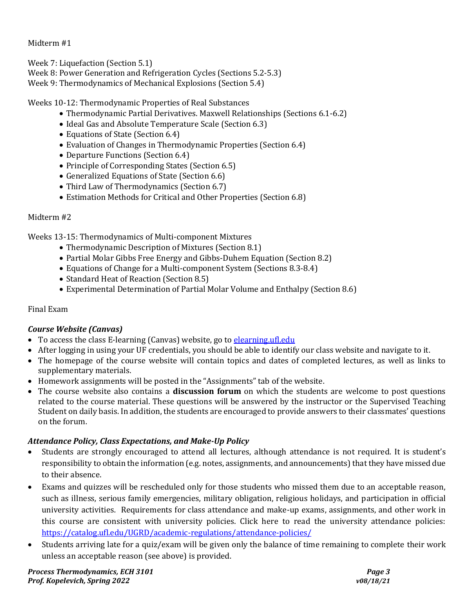Midterm #1

Week 7: Liquefaction (Section 5.1)

Week 8: Power Generation and Refrigeration Cycles (Sections 5.2-5.3)

Week 9: Thermodynamics of Mechanical Explosions (Section 5.4)

Weeks 10-12: Thermodynamic Properties of Real Substances

- Thermodynamic Partial Derivatives. Maxwell Relationships (Sections 6.1-6.2)
- Ideal Gas and Absolute Temperature Scale (Section 6.3)
- Equations of State (Section 6.4)
- Evaluation of Changes in Thermodynamic Properties (Section 6.4)
- Departure Functions (Section 6.4)
- Principle of Corresponding States (Section 6.5)
- Generalized Equations of State (Section 6.6)
- Third Law of Thermodynamics (Section 6.7)
- Estimation Methods for Critical and Other Properties (Section 6.8)

# Midterm #2

Weeks 13-15: Thermodynamics of Multi-component Mixtures

- Thermodynamic Description of Mixtures (Section 8.1)
- Partial Molar Gibbs Free Energy and Gibbs-Duhem Equation (Section 8.2)
- Equations of Change for a Multi-component System (Sections 8.3-8.4)
- Standard Heat of Reaction (Section 8.5)
- Experimental Determination of Partial Molar Volume and Enthalpy (Section 8.6)

# Final Exam

# *Course Website (Canvas)*

- To access the class E-learning (Canvas) website, go to elearning ufledu
- After logging in using your UF credentials, you should be able to identify our class website and navigate to it.
- The homepage of the course website will contain topics and dates of completed lectures, as well as links to supplementary materials.
- Homework assignments will be posted in the "Assignments" tab of the website.
- The course website also contains a **discussion forum** on which the students are welcome to post questions related to the course material. These questions will be answered by the instructor or the Supervised Teaching Student on daily basis. In addition, the students are encouraged to provide answers to their classmates' questions on the forum.

# *Attendance Policy, Class Expectations, and Make-Up Policy*

- Students are strongly encouraged to attend all lectures, although attendance is not required. It is student's responsibility to obtain the information (e.g. notes, assignments, and announcements) that they have missed due to their absence.
- Exams and quizzes will be rescheduled only for those students who missed them due to an acceptable reason, such as illness, serious family emergencies, military obligation, religious holidays, and participation in official university activities. Requirements for class attendance and make-up exams, assignments, and other work in this course are consistent with university policies. Click here to read the university attendance policies: <https://catalog.ufl.edu/UGRD/academic-regulations/attendance-policies/>
- Students arriving late for a quiz/exam will be given only the balance of time remaining to complete their work unless an acceptable reason (see above) is provided.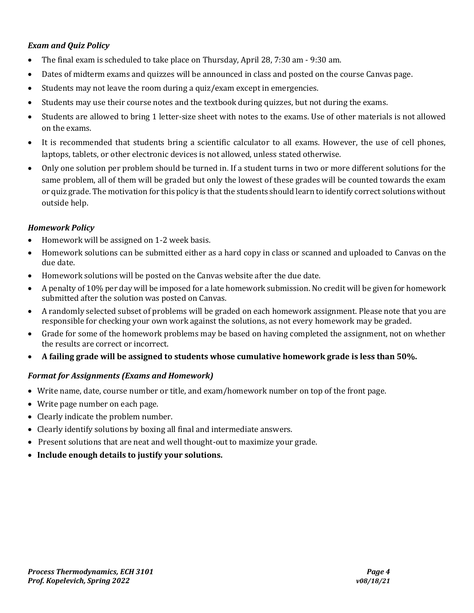# *Exam and Quiz Policy*

- The final exam is scheduled to take place on Thursday, April 28, 7:30 am 9:30 am.
- Dates of midterm exams and quizzes will be announced in class and posted on the course Canvas page.
- Students may not leave the room during a quiz/exam except in emergencies.
- Students may use their course notes and the textbook during quizzes, but not during the exams.
- Students are allowed to bring 1 letter-size sheet with notes to the exams. Use of other materials is not allowed on the exams.
- It is recommended that students bring a scientific calculator to all exams. However, the use of cell phones, laptops, tablets, or other electronic devices is not allowed, unless stated otherwise.
- Only one solution per problem should be turned in. If a student turns in two or more different solutions for the same problem, all of them will be graded but only the lowest of these grades will be counted towards the exam or quiz grade. The motivation for this policy is that the students should learn to identify correct solutions without outside help.

## *Homework Policy*

- Homework will be assigned on 1-2 week basis.
- Homework solutions can be submitted either as a hard copy in class or scanned and uploaded to Canvas on the due date.
- Homework solutions will be posted on the Canvas website after the due date.
- A penalty of 10% per day will be imposed for a late homework submission. No credit will be given for homework submitted after the solution was posted on Canvas.
- A randomly selected subset of problems will be graded on each homework assignment. Please note that you are responsible for checking your own work against the solutions, as not every homework may be graded.
- Grade for some of the homework problems may be based on having completed the assignment, not on whether the results are correct or incorrect.
- **A failing grade will be assigned to students whose cumulative homework grade is less than 50%.**

## *Format for Assignments (Exams and Homework)*

- Write name, date, course number or title, and exam/homework number on top of the front page.
- Write page number on each page.
- Clearly indicate the problem number.
- Clearly identify solutions by boxing all final and intermediate answers.
- Present solutions that are neat and well thought-out to maximize your grade.
- **Include enough details to justify your solutions.**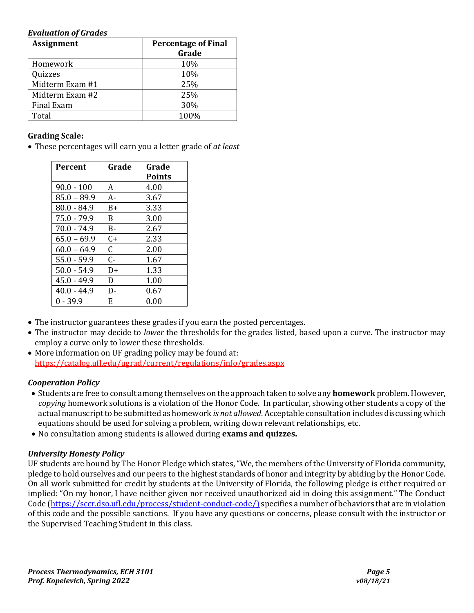#### *Evaluation of Grades*

| <b>Assignment</b> | <b>Percentage of Final</b> |
|-------------------|----------------------------|
|                   | Grade                      |
| Homework          | 10%                        |
| Quizzes           | 10%                        |
| Midterm Exam #1   | 25%                        |
| Midterm Exam #2   | 25%                        |
| Final Exam        | 30%                        |
| Total             | 100%                       |

## **Grading Scale:**

• These percentages will earn you a letter grade of *at least*

| <b>Percent</b> | Grade | Grade         |
|----------------|-------|---------------|
|                |       | <b>Points</b> |
| $90.0 - 100$   | A     | 4.00          |
| $85.0 - 89.9$  | А-    | 3.67          |
| $80.0 - 84.9$  | B+    | 3.33          |
| $75.0 - 79.9$  | B.    | 3.00          |
| $70.0 - 74.9$  | B-    | 2.67          |
| $65.0 - 69.9$  | $C+$  | 2.33          |
| $60.0 - 64.9$  | C.    | 2.00          |
| $55.0 - 59.9$  | $C -$ | 1.67          |
| $50.0 - 54.9$  | D+    | 1.33          |
| $45.0 - 49.9$  | D.    | 1.00          |
| $40.0 - 44.9$  | D-    | 0.67          |
| 0 - 39.9       | F.    | 0.00          |

- The instructor guarantees these grades if you earn the posted percentages.
- The instructor may decide to *lower* the thresholds for the grades listed, based upon a curve. The instructor may employ a curve only to lower these thresholds.
- More information on UF grading policy may be found at: <https://catalog.ufl.edu/ugrad/current/regulations/info/grades.aspx>

# *Cooperation Policy*

- Students are free to consult among themselves on the approach taken to solve any **homework** problem. However, *copying* homework solutions is a violation of the Honor Code. In particular, showing other students a copy of the actual manuscript to be submitted as homework *is not allowed*. Acceptable consultation includes discussing which equations should be used for solving a problem, writing down relevant relationships, etc.
- No consultation among students is allowed during **exams and quizzes.**

# *University Honesty Policy*

UF students are bound by The Honor Pledge which states, "We, the members of the University of Florida community, pledge to hold ourselves and our peers to the highest standards of honor and integrity by abiding by the Honor Code. On all work submitted for credit by students at the University of Florida, the following pledge is either required or implied: "On my honor, I have neither given nor received unauthorized aid in doing this assignment." The Conduct Code [\(https://sccr.dso.ufl.edu/process/student-conduct-code/\)](https://sccr.dso.ufl.edu/process/student-conduct-code/) specifies a number of behaviors that are in violation of this code and the possible sanctions. If you have any questions or concerns, please consult with the instructor or the Supervised Teaching Student in this class.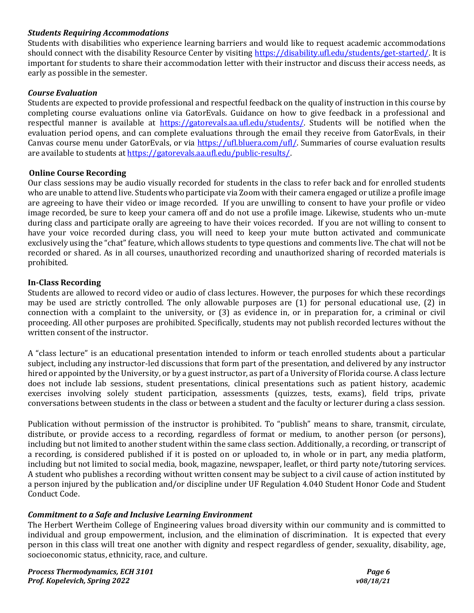## *Students Requiring Accommodations*

Students with disabilities who experience learning barriers and would like to request academic accommodations should connect with the disability Resource Center by visiting [https://disability.ufl.edu/students/get-started/.](https://disability.ufl.edu/students/get-started/) It is important for students to share their accommodation letter with their instructor and discuss their access needs, as early as possible in the semester.

### *Course Evaluation*

Students are expected to provide professional and respectful feedback on the quality of instruction in this course by completing course evaluations online via GatorEvals. Guidance on how to give feedback in a professional and respectful manner is available at [https://gatorevals.aa.ufl.edu/students/.](https://gatorevals.aa.ufl.edu/students/) Students will be notified when the evaluation period opens, and can complete evaluations through the email they receive from GatorEvals, in their Canvas course menu under GatorEvals, or via [https://ufl.bluera.com/ufl/.](https://ufl.bluera.com/ufl/) Summaries of course evaluation results are available to students a[t https://gatorevals.aa.ufl.edu/public-results/.](https://gatorevals.aa.ufl.edu/public-results/)

### **Online Course Recording**

Our class sessions may be audio visually recorded for students in the class to refer back and for enrolled students who are unable to attend live. Students who participate via Zoom with their camera engaged or utilize a profile image are agreeing to have their video or image recorded. If you are unwilling to consent to have your profile or video image recorded, be sure to keep your camera off and do not use a profile image. Likewise, students who un-mute during class and participate orally are agreeing to have their voices recorded. If you are not willing to consent to have your voice recorded during class, you will need to keep your mute button activated and communicate exclusively using the "chat" feature, which allows students to type questions and comments live. The chat will not be recorded or shared. As in all courses, unauthorized recording and unauthorized sharing of recorded materials is prohibited.

### **In-Class Recording**

Students are allowed to record video or audio of class lectures. However, the purposes for which these recordings may be used are strictly controlled. The only allowable purposes are (1) for personal educational use, (2) in connection with a complaint to the university, or (3) as evidence in, or in preparation for, a criminal or civil proceeding. All other purposes are prohibited. Specifically, students may not publish recorded lectures without the written consent of the instructor.

A "class lecture" is an educational presentation intended to inform or teach enrolled students about a particular subject, including any instructor-led discussions that form part of the presentation, and delivered by any instructor hired or appointed by the University, or by a guest instructor, as part of a University of Florida course. A class lecture does not include lab sessions, student presentations, clinical presentations such as patient history, academic exercises involving solely student participation, assessments (quizzes, tests, exams), field trips, private conversations between students in the class or between a student and the faculty or lecturer during a class session.

Publication without permission of the instructor is prohibited. To "publish" means to share, transmit, circulate, distribute, or provide access to a recording, regardless of format or medium, to another person (or persons), including but not limited to another student within the same class section. Additionally, a recording, or transcript of a recording, is considered published if it is posted on or uploaded to, in whole or in part, any media platform, including but not limited to social media, book, magazine, newspaper, leaflet, or third party note/tutoring services. A student who publishes a recording without written consent may be subject to a civil cause of action instituted by a person injured by the publication and/or discipline under UF Regulation 4.040 Student Honor Code and Student Conduct Code.

## *Commitment to a Safe and Inclusive Learning Environment*

The Herbert Wertheim College of Engineering values broad diversity within our community and is committed to individual and group empowerment, inclusion, and the elimination of discrimination. It is expected that every person in this class will treat one another with dignity and respect regardless of gender, sexuality, disability, age, socioeconomic status, ethnicity, race, and culture.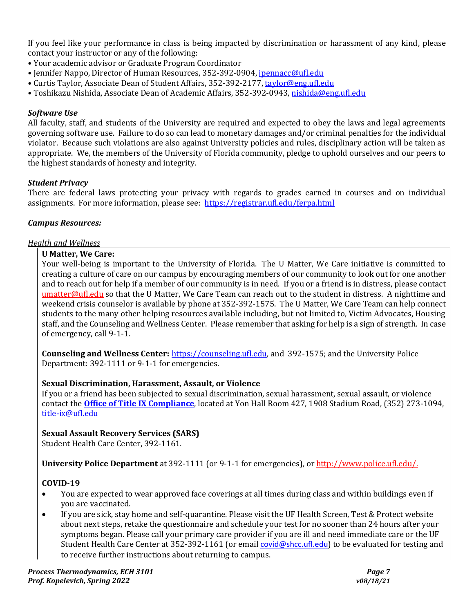If you feel like your performance in class is being impacted by discrimination or harassment of any kind, please contact your instructor or any of the following:

- Your academic advisor or Graduate Program Coordinator
- Jennifer Nappo, Director of Human Resources, 352-392-0904, [jpennacc@ufl.edu](mailto:jpennacc@ufl.edu)
- Curtis Taylor, Associate Dean of Student Affairs, 352-392-2177[, taylor@eng.ufl.edu](mailto:taylor@eng.ufl.edu)
- Toshikazu Nishida, Associate Dean of Academic Affairs, 352-392-0943[, nishida@eng.ufl.edu](mailto:nishida@eng.ufl.edu)

## *Software Use*

All faculty, staff, and students of the University are required and expected to obey the laws and legal agreements governing software use. Failure to do so can lead to monetary damages and/or criminal penalties for the individual violator. Because such violations are also against University policies and rules, disciplinary action will be taken as appropriate. We, the members of the University of Florida community, pledge to uphold ourselves and our peers to the highest standards of honesty and integrity.

## *Student Privacy*

There are federal laws protecting your privacy with regards to grades earned in courses and on individual assignments. For more information, please see: <https://registrar.ufl.edu/ferpa.html>

## *Campus Resources:*

## *Health and Wellness*

### **U Matter, We Care:**

Your well-being is important to the University of Florida. The U Matter, We Care initiative is committed to creating a culture of care on our campus by encouraging members of our community to look out for one another and to reach out for help if a member of our community is in need. If you or a friend is in distress, please contact [umatter@ufl.edu](mailto:umatter@ufl.edu) so that the U Matter, We Care Team can reach out to the student in distress. A nighttime and weekend crisis counselor is available by phone at 352-392-1575. The U Matter, We Care Team can help connect students to the many other helping resources available including, but not limited to, Victim Advocates, Housing staff, and the Counseling and Wellness Center. Please remember that asking for help is a sign of strength. In case of emergency, call 9-1-1.

**Counseling and Wellness Center:** [https://counseling.ufl.edu,](https://counseling.ufl.edu/) and 392-1575; and the University Police Department: 392-1111 or 9-1-1 for emergencies.

## **Sexual Discrimination, Harassment, Assault, or Violence**

If you or a friend has been subjected to sexual discrimination, sexual harassment, sexual assault, or violence contact the **[Office of Title IX Compliance](https://titleix.ufl.edu/)**, located at Yon Hall Room 427, 1908 Stadium Road, (352) 273-1094, [title-ix@ufl.edu](mailto:title-ix@ufl.edu)

## **Sexual Assault Recovery Services (SARS)**

Student Health Care Center, 392-1161.

**University Police Department** at 392-1111 (or 9-1-1 for emergencies), o[r http://www.police.ufl.edu/.](http://www.police.ufl.edu/)

## **COVID-19**

- You are expected to wear approved face coverings at all times during class and within buildings even if you are vaccinated.
- If you are sick, stay home and self-quarantine. Please visit the UF Health Screen, Test & Protect website about next steps, retake the questionnaire and schedule your test for no sooner than 24 hours after your symptoms began. Please call your primary care provider if you are ill and need immediate care or the UF Student Health Care Center at 352-392-1161 (or email [covid@shcc.ufl.edu](mailto:covid@shcc.ufl.edu)) to be evaluated for testing and to receive further instructions about returning to campus.